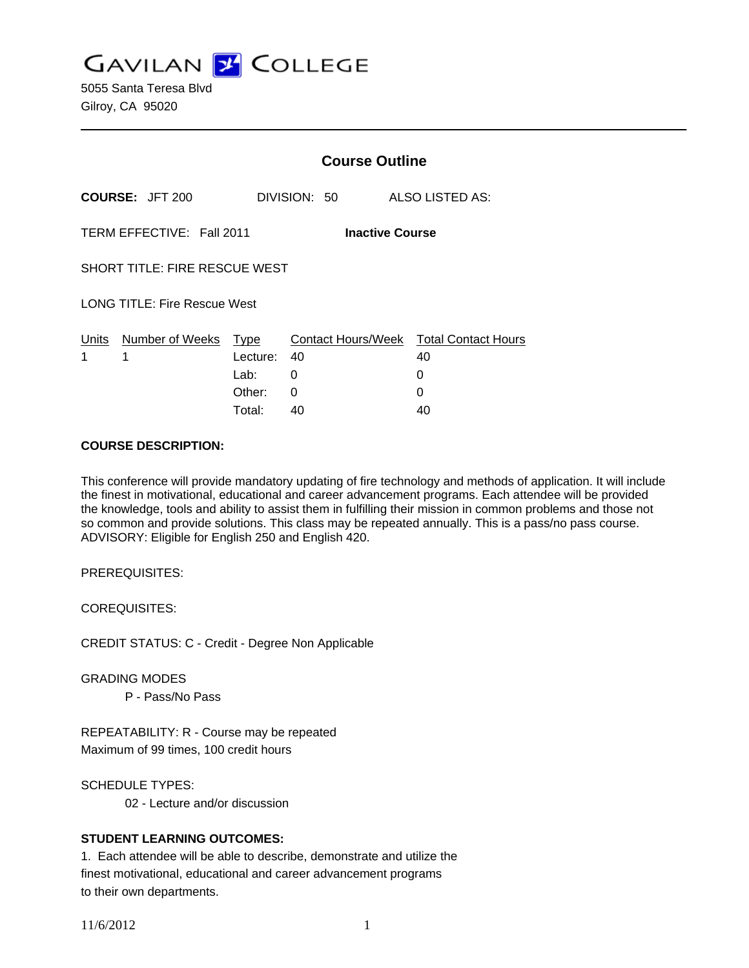**GAVILAN Z COLLEGE** 

5055 Santa Teresa Blvd Gilroy, CA 95020

|                                                     |                                     | <b>Course Outline</b> |              |                                              |  |
|-----------------------------------------------------|-------------------------------------|-----------------------|--------------|----------------------------------------------|--|
|                                                     | <b>COURSE: JFT 200</b>              |                       | DIVISION: 50 | ALSO LISTED AS:                              |  |
| TERM EFFECTIVE: Fall 2011<br><b>Inactive Course</b> |                                     |                       |              |                                              |  |
| <b>SHORT TITLE: FIRE RESCUE WEST</b>                |                                     |                       |              |                                              |  |
|                                                     | <b>LONG TITLE: Fire Rescue West</b> |                       |              |                                              |  |
| 1                                                   | Units Number of Weeks Type<br>1     | Lecture:              | 40           | Contact Hours/Week Total Contact Hours<br>40 |  |
|                                                     |                                     | Lab:                  | 0            | 0                                            |  |
|                                                     |                                     | Other:                | 0            | 0                                            |  |
|                                                     |                                     | Total:                | 40           | 40                                           |  |

#### **COURSE DESCRIPTION:**

This conference will provide mandatory updating of fire technology and methods of application. It will include the finest in motivational, educational and career advancement programs. Each attendee will be provided the knowledge, tools and ability to assist them in fulfilling their mission in common problems and those not so common and provide solutions. This class may be repeated annually. This is a pass/no pass course. ADVISORY: Eligible for English 250 and English 420.

PREREQUISITES:

COREQUISITES:

CREDIT STATUS: C - Credit - Degree Non Applicable

GRADING MODES

P - Pass/No Pass

REPEATABILITY: R - Course may be repeated Maximum of 99 times, 100 credit hours

SCHEDULE TYPES:

02 - Lecture and/or discussion

## **STUDENT LEARNING OUTCOMES:**

1. Each attendee will be able to describe, demonstrate and utilize the finest motivational, educational and career advancement programs to their own departments.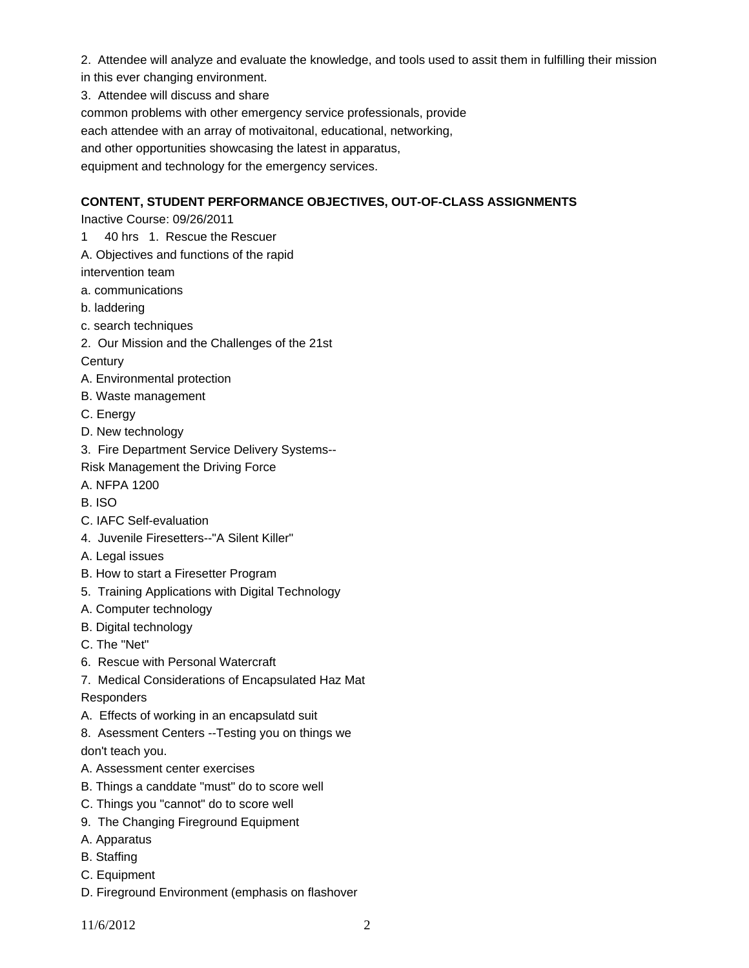- 2. Attendee will analyze and evaluate the knowledge, and tools used to assit them in fulfilling their mission
- in this ever changing environment.
- 3. Attendee will discuss and share

common problems with other emergency service professionals, provide

each attendee with an array of motivaitonal, educational, networking,

and other opportunities showcasing the latest in apparatus,

equipment and technology for the emergency services.

# **CONTENT, STUDENT PERFORMANCE OBJECTIVES, OUT-OF-CLASS ASSIGNMENTS**

Inactive Course: 09/26/2011

- 1 40 hrs 1. Rescue the Rescuer
- A. Objectives and functions of the rapid

intervention team

- a. communications
- b. laddering
- c. search techniques
- 2. Our Mission and the Challenges of the 21st
- **Century**
- A. Environmental protection
- B. Waste management
- C. Energy
- D. New technology
- 3. Fire Department Service Delivery Systems--
- Risk Management the Driving Force
- A. NFPA 1200
- B. ISO
- C. IAFC Self-evaluation
- 4. Juvenile Firesetters--"A Silent Killer"
- A. Legal issues
- B. How to start a Firesetter Program
- 5. Training Applications with Digital Technology
- A. Computer technology
- B. Digital technology
- C. The "Net"
- 6. Rescue with Personal Watercraft
- 7. Medical Considerations of Encapsulated Haz Mat

Responders

- A. Effects of working in an encapsulatd suit
- 8. Asessment Centers --Testing you on things we don't teach you.
- A. Assessment center exercises
- B. Things a canddate "must" do to score well
- C. Things you "cannot" do to score well
- 9. The Changing Fireground Equipment
- A. Apparatus
- B. Staffing
- C. Equipment
- D. Fireground Environment (emphasis on flashover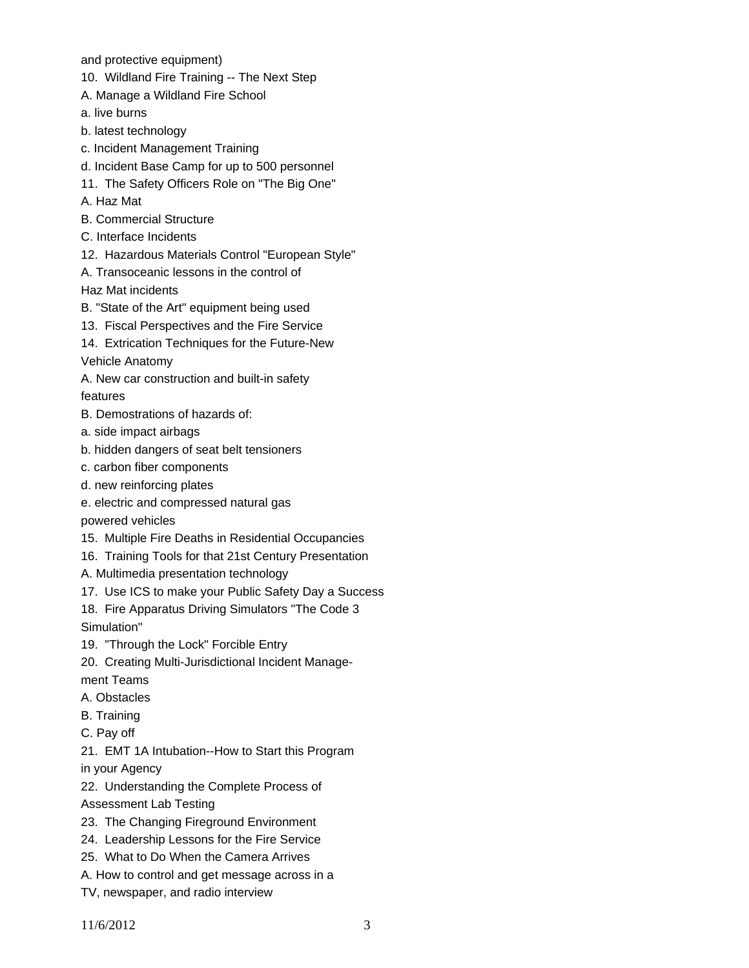and protective equipment)

10. Wildland Fire Training -- The Next Step

- A. Manage a Wildland Fire School
- a. live burns
- b. latest technology
- c. Incident Management Training
- d. Incident Base Camp for up to 500 personnel
- 11. The Safety Officers Role on "The Big One"
- A. Haz Mat
- B. Commercial Structure
- C. Interface Incidents
- 12. Hazardous Materials Control "European Style"
- A. Transoceanic lessons in the control of

Haz Mat incidents

- B. "State of the Art" equipment being used
- 13. Fiscal Perspectives and the Fire Service
- 14. Extrication Techniques for the Future-New

Vehicle Anatomy

- A. New car construction and built-in safety features
- B. Demostrations of hazards of:
- a. side impact airbags
- b. hidden dangers of seat belt tensioners
- c. carbon fiber components
- d. new reinforcing plates
- e. electric and compressed natural gas

powered vehicles

- 15. Multiple Fire Deaths in Residential Occupancies
- 16. Training Tools for that 21st Century Presentation

A. Multimedia presentation technology

- 17. Use ICS to make your Public Safety Day a Success
- 18. Fire Apparatus Driving Simulators "The Code 3 Simulation"
- 19. "Through the Lock" Forcible Entry
- 20. Creating Multi-Jurisdictional Incident Manage-
- ment Teams
- A. Obstacles
- B. Training
- C. Pay off

21. EMT 1A Intubation--How to Start this Program in your Agency

22. Understanding the Complete Process of

- Assessment Lab Testing
- 23. The Changing Fireground Environment
- 24. Leadership Lessons for the Fire Service
- 25. What to Do When the Camera Arrives
- A. How to control and get message across in a
- TV, newspaper, and radio interview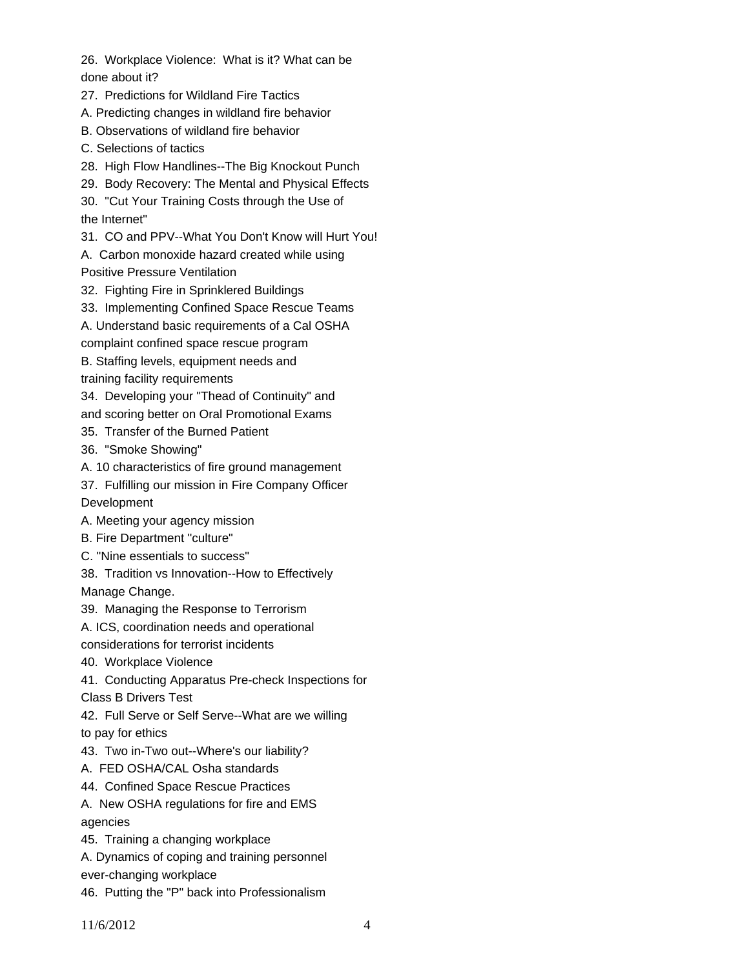26. Workplace Violence: What is it? What can be done about it?

27. Predictions for Wildland Fire Tactics

A. Predicting changes in wildland fire behavior

B. Observations of wildland fire behavior

C. Selections of tactics

28. High Flow Handlines--The Big Knockout Punch

29. Body Recovery: The Mental and Physical Effects

30. "Cut Your Training Costs through the Use of the Internet"

31. CO and PPV--What You Don't Know will Hurt You!

A. Carbon monoxide hazard created while using Positive Pressure Ventilation

32. Fighting Fire in Sprinklered Buildings

33. Implementing Confined Space Rescue Teams

A. Understand basic requirements of a Cal OSHA

complaint confined space rescue program

B. Staffing levels, equipment needs and

training facility requirements

34. Developing your "Thead of Continuity" and

and scoring better on Oral Promotional Exams

35. Transfer of the Burned Patient

36. "Smoke Showing"

A. 10 characteristics of fire ground management

37. Fulfilling our mission in Fire Company Officer

Development

A. Meeting your agency mission

B. Fire Department "culture"

C. "Nine essentials to success"

38. Tradition vs Innovation--How to Effectively Manage Change.

39. Managing the Response to Terrorism

A. ICS, coordination needs and operational

considerations for terrorist incidents

40. Workplace Violence

41. Conducting Apparatus Pre-check Inspections for

Class B Drivers Test

42. Full Serve or Self Serve--What are we willing to pay for ethics

43. Two in-Two out--Where's our liability?

A. FED OSHA/CAL Osha standards

44. Confined Space Rescue Practices

A. New OSHA regulations for fire and EMS agencies

45. Training a changing workplace

A. Dynamics of coping and training personnel

ever-changing workplace

46. Putting the "P" back into Professionalism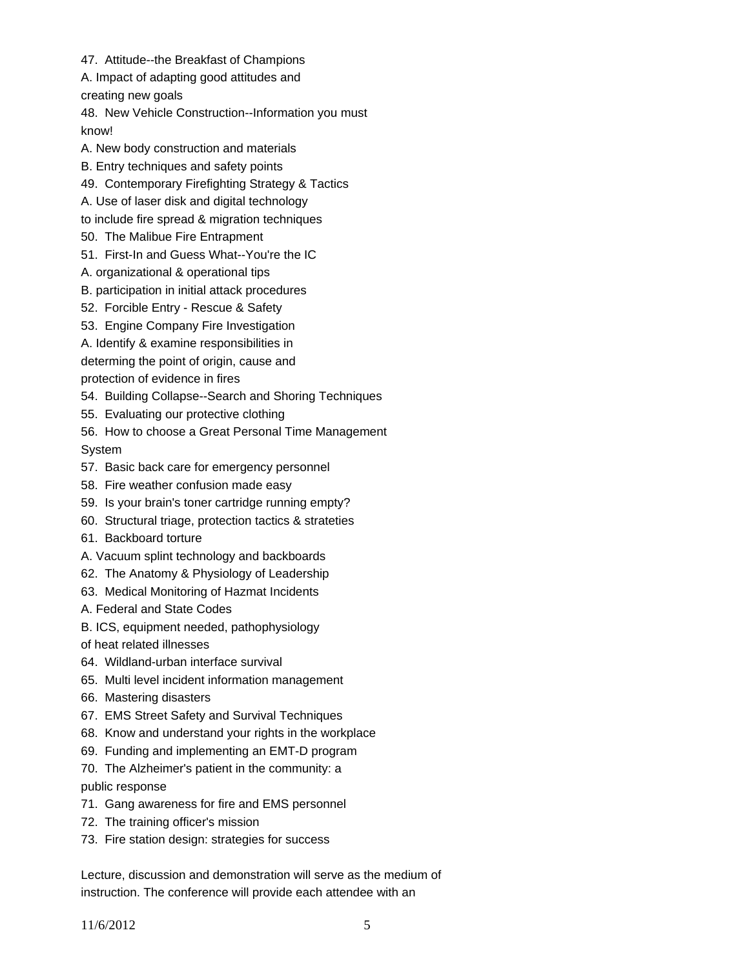47. Attitude--the Breakfast of Champions

A. Impact of adapting good attitudes and

creating new goals

48. New Vehicle Construction--Information you must know!

A. New body construction and materials

B. Entry techniques and safety points

49. Contemporary Firefighting Strategy & Tactics

A. Use of laser disk and digital technology

to include fire spread & migration techniques

50. The Malibue Fire Entrapment

51. First-In and Guess What--You're the IC

A. organizational & operational tips

B. participation in initial attack procedures

52. Forcible Entry - Rescue & Safety

53. Engine Company Fire Investigation

A. Identify & examine responsibilities in

determing the point of origin, cause and

protection of evidence in fires

54. Building Collapse--Search and Shoring Techniques

55. Evaluating our protective clothing

56. How to choose a Great Personal Time Management System

57. Basic back care for emergency personnel

58. Fire weather confusion made easy

59. Is your brain's toner cartridge running empty?

60. Structural triage, protection tactics & strateties

61. Backboard torture

A. Vacuum splint technology and backboards

62. The Anatomy & Physiology of Leadership

63. Medical Monitoring of Hazmat Incidents

A. Federal and State Codes

B. ICS, equipment needed, pathophysiology

of heat related illnesses

64. Wildland-urban interface survival

65. Multi level incident information management

66. Mastering disasters

67. EMS Street Safety and Survival Techniques

68. Know and understand your rights in the workplace

69. Funding and implementing an EMT-D program

70. The Alzheimer's patient in the community: a

public response

71. Gang awareness for fire and EMS personnel

72. The training officer's mission

73. Fire station design: strategies for success

Lecture, discussion and demonstration will serve as the medium of instruction. The conference will provide each attendee with an

11/6/2012 5